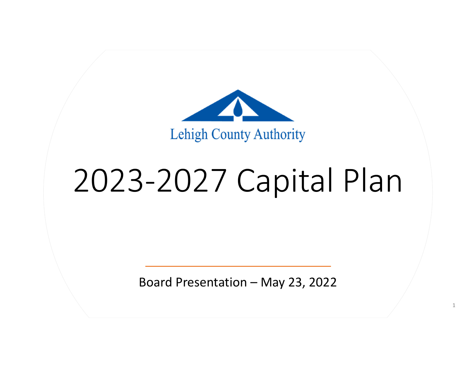

## ‐2027 Capital Plan

Board Presentation – May 23, 2022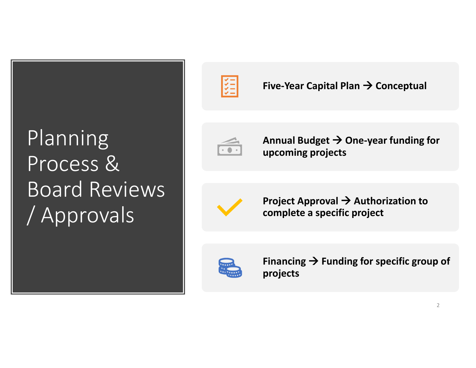### Planning Process &Board Reviews / Approvals



**Five‐Year Capital Plan Conceptual**



**Annual Budget One‐year funding for upcoming projects**



**Project Approval Authorization to complete <sup>a</sup> specific project**



**Financing Funding for specific group of projects**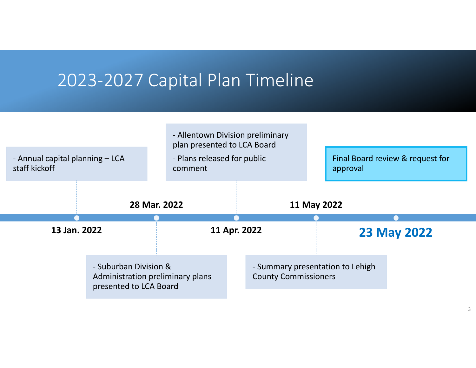#### 2023‐2027 Capital Plan Timeline

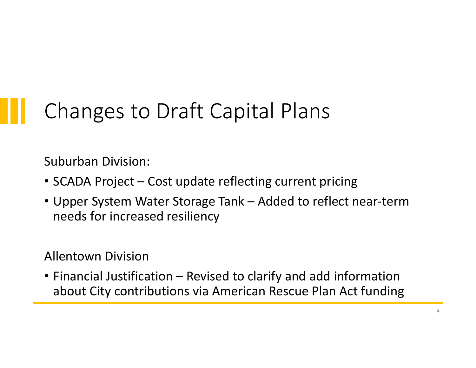### Changes to Draft Capital Plans

Suburban Division:

- SCADA Project Cost update reflecting current pricing
- Upper System Water Storage Tank Added to reflect near‐term needs for increased resiliency

#### Allentown Division

• Financial Justification – Revised to clarify and add information about City contributions via American Rescue Plan Act funding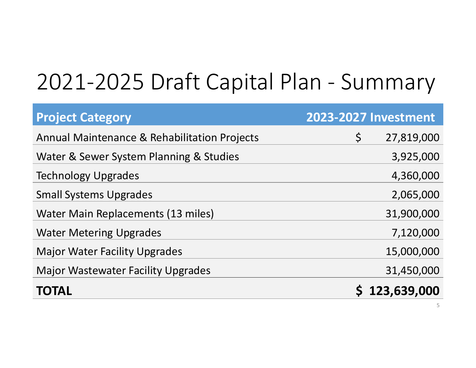## 2021‐2025 Draft Capital Plan ‐ Summary

| <b>Project Category</b>                                 | <b>2023-2027 Investment</b> |
|---------------------------------------------------------|-----------------------------|
| <b>Annual Maintenance &amp; Rehabilitation Projects</b> | $\zeta$<br>27,819,000       |
| Water & Sewer System Planning & Studies                 | 3,925,000                   |
| <b>Technology Upgrades</b>                              | 4,360,000                   |
| <b>Small Systems Upgrades</b>                           | 2,065,000                   |
| <b>Water Main Replacements (13 miles)</b>               | 31,900,000                  |
| <b>Water Metering Upgrades</b>                          | 7,120,000                   |
| <b>Major Water Facility Upgrades</b>                    | 15,000,000                  |
| <b>Major Wastewater Facility Upgrades</b>               | 31,450,000                  |
| <b>TOTAL</b>                                            | 123,639,000                 |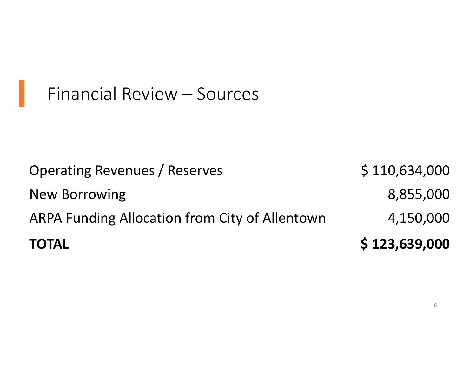#### Financial Review – Sources

| <b>TOTAL</b>                                          | \$123,639,000 |
|-------------------------------------------------------|---------------|
| <b>ARPA Funding Allocation from City of Allentown</b> | 4,150,000     |
| <b>New Borrowing</b>                                  | 8,855,000     |
| <b>Operating Revenues / Reserves</b>                  | \$110,634,000 |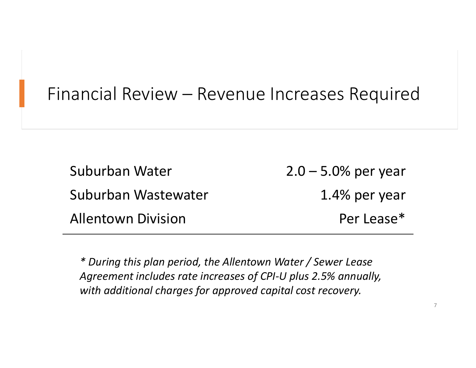#### Financial Review – Revenue Increases Required

Suburban Water Water 2.0 – 5.0% per year Suburban Wastewater 1.4%1.4% per year **Allentown Division** Per Lease\*

*\* During this plan period, the Allentown Water / Sewer Lease Agreement includes rate increases of CPI‐U plus 2.5% annually, with additional charges for approved capital cost recovery.*

7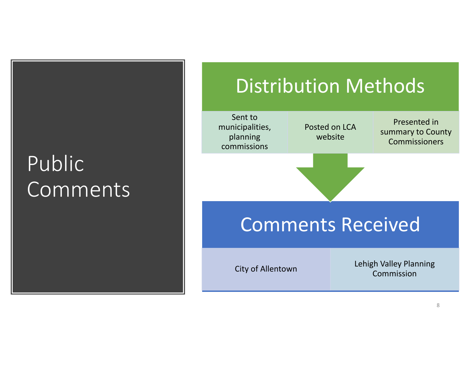### Public Comments